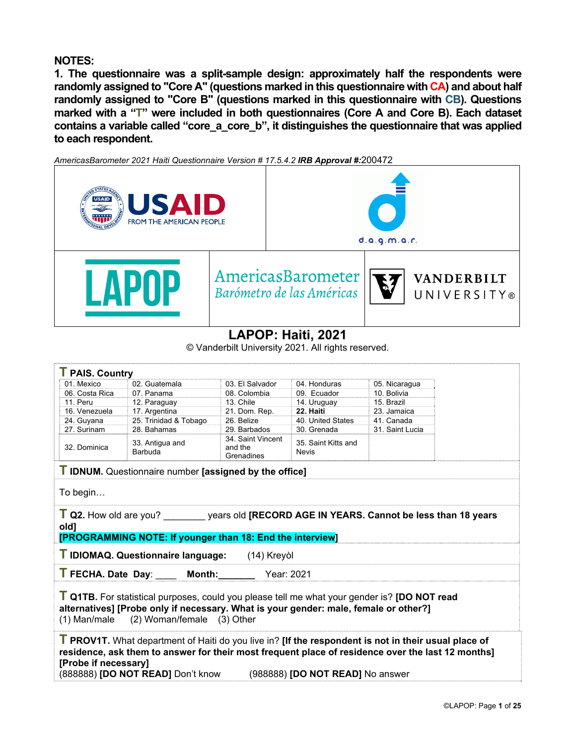## **NOTES:**

**1. The questionnaire was a split-sample design: approximately half the respondents were randomly assigned to "Core A" (questions marked in this questionnaire with CA) and about half randomly assigned to "Core B" (questions marked in this questionnaire with CB). Questions marked with a "T" were included in both questionnaires (Core A and Core B). Each dataset contains a variable called "core\_a\_core\_b", it distinguishes the questionnaire that was applied to each respondent.** 

*AmericasBarometer 2021 Haiti Questionnaire Version # 17.5.4.2 IRB Approval #:*200472



# **LAPOP: Haiti, 2021**

© Vanderbilt University 2021. All rights reserved.

| <b>T</b> PAIS. Country                                                                                                                                                                                                                                                                                            |                                                                                                                                                           |                                            |                                     |                 |  |  |  |  |  |  |
|-------------------------------------------------------------------------------------------------------------------------------------------------------------------------------------------------------------------------------------------------------------------------------------------------------------------|-----------------------------------------------------------------------------------------------------------------------------------------------------------|--------------------------------------------|-------------------------------------|-----------------|--|--|--|--|--|--|
| 01 Mexico                                                                                                                                                                                                                                                                                                         | 02. Guatemala                                                                                                                                             | 03. El Salvador                            | 04. Honduras                        | 05. Nicaragua   |  |  |  |  |  |  |
| 06. Costa Rica                                                                                                                                                                                                                                                                                                    | 07. Panama                                                                                                                                                | 08. Colombia                               | 09. Ecuador                         | 10. Bolivia     |  |  |  |  |  |  |
| 11. Peru                                                                                                                                                                                                                                                                                                          | 12. Paraguay                                                                                                                                              | 13. Chile                                  | 14. Uruguay                         | 15. Brazil      |  |  |  |  |  |  |
| 16. Venezuela                                                                                                                                                                                                                                                                                                     | 17. Argentina                                                                                                                                             | 21. Dom. Rep.                              | 22. Haiti                           | 23. Jamaica     |  |  |  |  |  |  |
| 24. Guyana                                                                                                                                                                                                                                                                                                        | 25. Trinidad & Tobago                                                                                                                                     | 26. Belize                                 | 40. United States                   | 41. Canada      |  |  |  |  |  |  |
| 27. Surinam                                                                                                                                                                                                                                                                                                       | 28. Bahamas                                                                                                                                               | 29. Barbados                               | 30. Grenada                         | 31. Saint Lucia |  |  |  |  |  |  |
| 32. Dominica                                                                                                                                                                                                                                                                                                      | 33. Antiqua and<br>Barbuda                                                                                                                                | 34. Saint Vincent<br>and the<br>Grenadines | 35. Saint Kitts and<br><b>Nevis</b> |                 |  |  |  |  |  |  |
|                                                                                                                                                                                                                                                                                                                   | <b>T IDNUM.</b> Questionnaire number [assigned by the office]                                                                                             |                                            |                                     |                 |  |  |  |  |  |  |
| To begin                                                                                                                                                                                                                                                                                                          |                                                                                                                                                           |                                            |                                     |                 |  |  |  |  |  |  |
| oldl                                                                                                                                                                                                                                                                                                              | T Q2. How old are you? ________ years old [RECORD AGE IN YEARS. Cannot be less than 18 years<br>[PROGRAMMING NOTE: If younger than 18: End the interview] |                                            |                                     |                 |  |  |  |  |  |  |
|                                                                                                                                                                                                                                                                                                                   | T IDIOMAQ. Questionnaire language:                                                                                                                        | (14) Kreyòl                                |                                     |                 |  |  |  |  |  |  |
|                                                                                                                                                                                                                                                                                                                   | T FECHA. Date Day: Month: Year: 2021                                                                                                                      |                                            |                                     |                 |  |  |  |  |  |  |
| T Q1TB. For statistical purposes, could you please tell me what your gender is? [DO NOT read<br>alternatives] [Probe only if necessary. What is your gender: male, female or other?]<br>(1) Man/male<br>(2) Woman/female (3) Other                                                                                |                                                                                                                                                           |                                            |                                     |                 |  |  |  |  |  |  |
| T PROV1T. What department of Haiti do you live in? [If the respondent is not in their usual place of<br>residence, ask them to answer for their most frequent place of residence over the last 12 months]<br>[Probe if necessary]<br>(888888) <b>[DO NOT READ]</b> Don't know<br>(988888) [DO NOT READ] No answer |                                                                                                                                                           |                                            |                                     |                 |  |  |  |  |  |  |
|                                                                                                                                                                                                                                                                                                                   |                                                                                                                                                           |                                            |                                     |                 |  |  |  |  |  |  |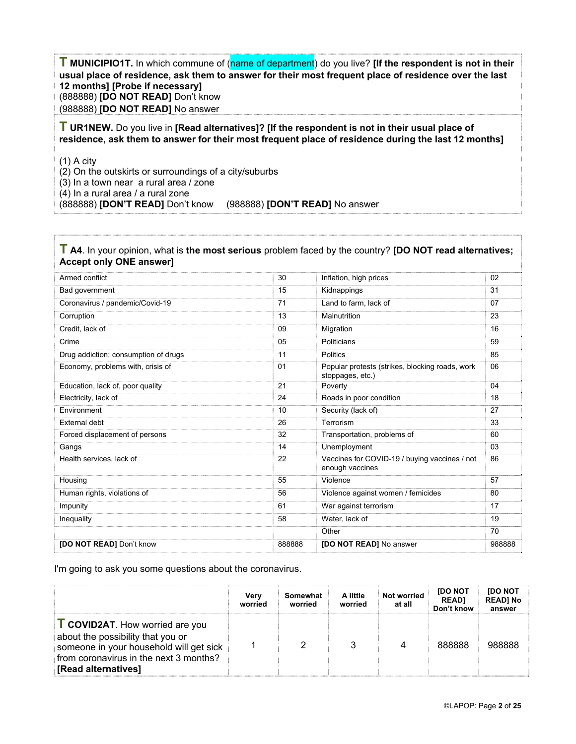**T MUNICIPIO1T.** In which commune of (name of department) do you live? **[If the respondent is not in their usual place of residence, ask them to answer for their most frequent place of residence over the last 12 months] [Probe if necessary]**  (888888) **[DO NOT READ]** Don't know (988888) **[DO NOT READ]** No answer

**T UR1NEW.** Do you live in **[Read alternatives]? [If the respondent is not in their usual place of residence, ask them to answer for their most frequent place of residence during the last 12 months]** 

(1) A city

(2) On the outskirts or surroundings of a city/suburbs

(3) In a town near a rural area / zone

(4) In a rural area / a rural zone

(888888) **[DON'T READ]** Don't know (988888) **[DON'T READ]** No answer

#### **T A4**. In your opinion, what is **the most serious** problem faced by the country? **[DO NOT read alternatives; Accept only ONE answer]**

| Armed conflict                       | 30     | Inflation, high prices                                              | 02     |
|--------------------------------------|--------|---------------------------------------------------------------------|--------|
| Bad government                       | 15     | Kidnappings                                                         | 31     |
| Coronavirus / pandemic/Covid-19      | 71     | Land to farm, lack of                                               | 07     |
| Corruption                           | 13     | Malnutrition                                                        | 23     |
| Credit, lack of                      | 09     | Migration                                                           | 16     |
| Crime                                | 05     | Politicians                                                         | 59     |
| Drug addiction; consumption of drugs | 11     | <b>Politics</b>                                                     | 85     |
| Economy, problems with, crisis of    | 01     | Popular protests (strikes, blocking roads, work<br>stoppages, etc.) | 06     |
| Education, lack of, poor quality     | 21     | Poverty                                                             | 04     |
| Electricity, lack of                 | 24     | Roads in poor condition                                             | 18     |
| Environment                          | 10     | Security (lack of)                                                  | 27     |
| <b>External debt</b>                 | 26     | Terrorism                                                           | 33     |
| Forced displacement of persons       | 32     | Transportation, problems of                                         | 60     |
| Gangs                                | 14     | Unemployment                                                        | 03     |
| Health services, lack of             | 22     | Vaccines for COVID-19 / buying vaccines / not<br>enough vaccines    | 86     |
| Housing                              | 55     | Violence                                                            | 57     |
| Human rights, violations of          | 56     | Violence against women / femicides                                  | 80     |
| Impunity                             | 61     | War against terrorism                                               | 17     |
| Inequality                           | 58     | Water, lack of                                                      | 19     |
|                                      |        | Other                                                               | 70     |
| <b>[DO NOT READ]</b> Don't know      | 888888 | [DO NOT READ] No answer                                             | 988888 |

I'm going to ask you some questions about the coronavirus.

|                                                                                                                                                                                       | Verv<br>worried | Somewhat<br>worried | A little<br>worried | <b>Not worried</b><br>at all | <b>IDO NOT</b><br><b>READ1</b><br>Don't know | <b>IDO NOT</b><br><b>READI No</b><br>answer |
|---------------------------------------------------------------------------------------------------------------------------------------------------------------------------------------|-----------------|---------------------|---------------------|------------------------------|----------------------------------------------|---------------------------------------------|
| <b>COVID2AT.</b> How worried are you<br>about the possibility that you or<br>someone in your household will get sick<br>from coronavirus in the next 3 months?<br>[Read alternatives] |                 | 2                   |                     |                              | 888888                                       | 988888                                      |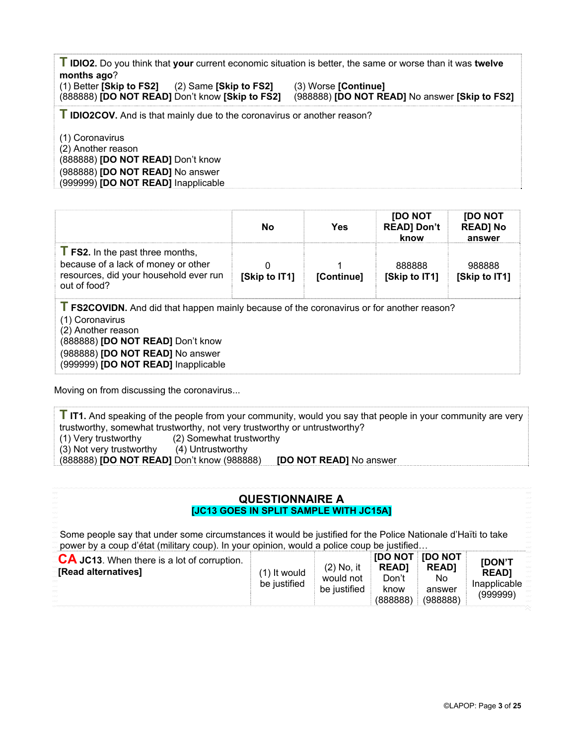**T IDIO2.** Do you think that **your** current economic situation is better, the same or worse than it was **twelve months ago**?

(1) Better **[Skip to FS2]** (2) Same **[Skip to FS2]** (3) Worse **[Continue]** (888888) **[DO NOT READ]** Don't know **[Skip to FS2]** (988888) **[DO NOT READ]** No answer **[Skip to FS2]**

**T IDIO2COV.** And is that mainly due to the coronavirus or another reason?

(1) Coronavirus (2) Another reason (888888) **[DO NOT READ]** Don't know (988888) **[DO NOT READ]** No answer (999999) **[DO NOT READ]** Inapplicable

|                                                                                                                                                                                                                                                           | No.           | Yes        | <b>IDO NOT</b><br><b>READ] Don't</b><br>know | <b>IDO NOT</b><br><b>READ] No</b><br>answer |
|-----------------------------------------------------------------------------------------------------------------------------------------------------------------------------------------------------------------------------------------------------------|---------------|------------|----------------------------------------------|---------------------------------------------|
| <b>FS2.</b> In the past three months,<br>because of a lack of money or other<br>resources, did your household ever run<br>out of food?                                                                                                                    | [Skip to IT1] | [Continue] | 888888<br>[Skip to IT1]                      | 988888<br>[Skip to IT1]                     |
| <b>T FS2COVIDN.</b> And did that happen mainly because of the coronavirus or for another reason?<br>(1) Coronavirus<br>(2) Another reason<br>(888888) [DO NOT READ] Don't know<br>(988888) [DO NOT READ] No answer<br>(999999) [DO NOT READ] Inapplicable |               |            |                                              |                                             |

Moving on from discussing the coronavirus...

**T IT1.** And speaking of the people from your community, would you say that people in your community are very trustworthy, somewhat trustworthy, not very trustworthy or untrustworthy? (1) Very trustworthy (2) Somewhat trustworthy (3) Not very trustworthy (4) Untrustworthy (888888) **[DO NOT READ]** Don't know (988888) **[DO NOT READ]** No answer

#### **QUESTIONNAIRE A [JC13 GOES IN SPLIT SAMPLE WITH JC15A]**

Some people say that under some circumstances it would be justified for the Police Nationale d'Haïti to take power by a coup d'état (military coup). In your opinion, would a police coup be justified…

| CA JC13. When there is a lot of corruption.<br>[Read alternatives]<br><b>ROCKET</b><br><b>RINGER</b> | $(1)$ It would<br>be justified | $(2)$ No. it<br>would not<br>be justified | <b>READI</b><br>Don't<br>know<br>(888888) | <b>IDO NOT IDO NOT</b><br><b>READI</b><br>No.<br>answer<br>(988888) | <b>IDON'T</b><br><b>READI</b><br>Inapplicable<br>(999999) |
|------------------------------------------------------------------------------------------------------|--------------------------------|-------------------------------------------|-------------------------------------------|---------------------------------------------------------------------|-----------------------------------------------------------|
|------------------------------------------------------------------------------------------------------|--------------------------------|-------------------------------------------|-------------------------------------------|---------------------------------------------------------------------|-----------------------------------------------------------|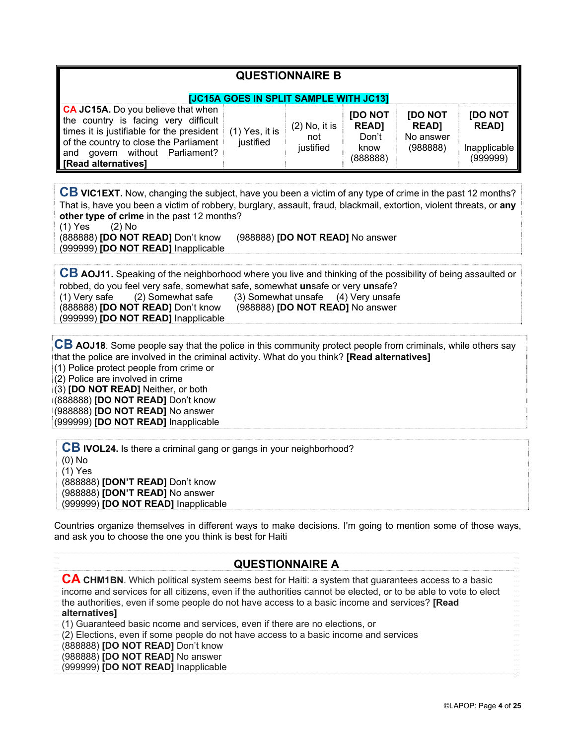| <b>QUESTIONNAIRE B</b><br><b>JJC15A GOES IN SPLIT SAMPLE WITH JC13]</b>                                                                                                                                                              |                               |                                     |                                                             |                                                         |                                                     |  |  |  |  |
|--------------------------------------------------------------------------------------------------------------------------------------------------------------------------------------------------------------------------------------|-------------------------------|-------------------------------------|-------------------------------------------------------------|---------------------------------------------------------|-----------------------------------------------------|--|--|--|--|
| <b>CA JC15A.</b> Do you believe that when<br>the country is facing very difficult<br>times it is justifiable for the president<br>of the country to close the Parliament<br>govern without Parliament?<br>and<br>[Read alternatives] | $(1)$ Yes, it is<br>justified | $(2)$ No, it is<br>not<br>justified | <b>IDO NOT</b><br><b>READ]</b><br>Don't<br>know<br>(888888) | <b>IDO NOT</b><br><b>READ]</b><br>No answer<br>(988888) | [DO NOT<br><b>READ]</b><br>Inapplicable<br>(999999) |  |  |  |  |

**CB VIC1EXT.** Now, changing the subject, have you been a victim of any type of crime in the past 12 months? That is, have you been a victim of robbery, burglary, assault, fraud, blackmail, extortion, violent threats, or **any other type of crime** in the past 12 months?

(1) Yes (2) No

(999999) **[DO NOT READ]** Inapplicable

(888888) **[DO NOT READ]** Don't know (988888) **[DO NOT READ]** No answer

**CB AOJ11.** Speaking of the neighborhood where you live and thinking of the possibility of being assaulted or robbed, do you feel very safe, somewhat safe, somewhat **un**safe or very **un**safe? (1) Very safe (2) Somewhat safe (3) Somewhat unsafe (4) Very unsafe (888888) **[DO NOT READ]** Don't know (988888) **[DO NOT READ]** No answer (999999) **[DO NOT READ]** Inapplicable

**CB AOJ18**. Some people say that the police in this community protect people from criminals, while others say that the police are involved in the criminal activity. What do you think? **[Read alternatives]** (1) Police protect people from crime or (2) Police are involved in crime

(3) **[DO NOT READ]** Neither, or both (888888) **[DO NOT READ]** Don't know (988888) **[DO NOT READ]** No answer (999999) **[DO NOT READ]** Inapplicable

**CB IVOL24.** Is there a criminal gang or gangs in your neighborhood? (0) No (1) Yes (888888) **[DON'T READ]** Don't know (988888) **[DON'T READ]** No answer (999999) **[DO NOT READ]** Inapplicable

Countries organize themselves in different ways to make decisions. I'm going to mention some of those ways, and ask you to choose the one you think is best for Haiti

# **QUESTIONNAIRE A**

**CA CHM1BN**. Which political system seems best for Haiti: a system that guarantees access to a basic income and services for all citizens, even if the authorities cannot be elected, or to be able to vote to elect the authorities, even if some people do not have access to a basic income and services? **[Read alternatives]** (1) Guaranteed basic ncome and services, even if there are no elections, or (2) Elections, even if some people do not have access to a basic income and services (888888) **[DO NOT READ]** Don't know

(988888) **[DO NOT READ]** No answer

(999999) **[DO NOT READ]** Inapplicable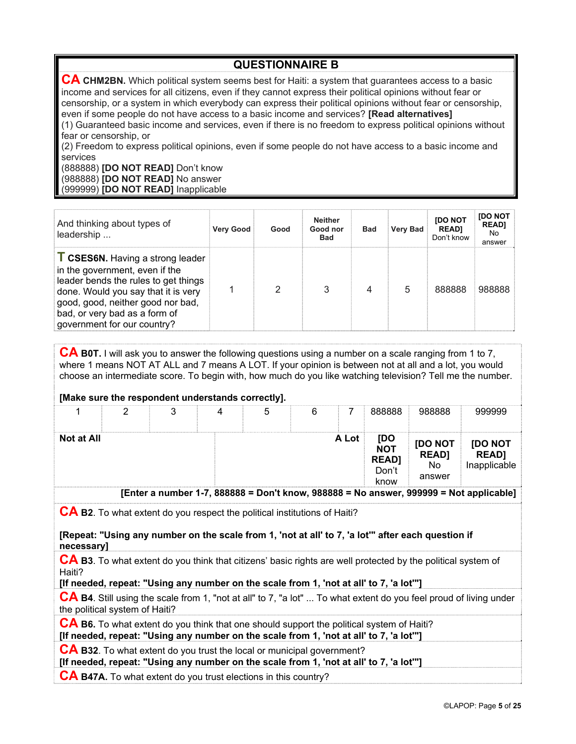**QUESTIONNAIRE B CA CHM2BN.** Which political system seems best for Haiti: a system that guarantees access to a basic income and services for all citizens, even if they cannot express their political opinions without fear or censorship, or a system in which everybody can express their political opinions without fear or censorship, even if some people do not have access to a basic income and services? **[Read alternatives]** (1) Guaranteed basic income and services, even if there is no freedom to express political opinions without fear or censorship, or

(2) Freedom to express political opinions, even if some people do not have access to a basic income and services

(888888) **[DO NOT READ]** Don't know (988888) **[DO NOT READ]** No answer (999999) **[DO NOT READ]** Inapplicable

| And thinking about types of<br>leadership                                                                                                                                                                                                                     | <b>Very Good</b> | Good | <b>Neither</b><br>Good nor<br><b>Bad</b> | <b>Bad</b> | <b>Very Bad</b> | <b>IDO NOT</b><br><b>READI</b><br>Don't know | <b>IDO NOT</b><br><b>READ1</b><br>No.<br>answer |
|---------------------------------------------------------------------------------------------------------------------------------------------------------------------------------------------------------------------------------------------------------------|------------------|------|------------------------------------------|------------|-----------------|----------------------------------------------|-------------------------------------------------|
| <b>T CSES6N.</b> Having a strong leader<br>in the government, even if the<br>leader bends the rules to get things<br>done. Would you say that it is very<br>good, good, neither good nor bad,<br>bad, or very bad as a form of<br>government for our country? |                  | 2    | 3                                        | 4          | 5               | 888888                                       | 988888                                          |

**CA B0T.** I will ask you to answer the following questions using a number on a scale ranging from 1 to 7, where 1 means NOT AT ALL and 7 means A LOT. If your opinion is between not at all and a lot, you would choose an intermediate score. To begin with, how much do you like watching television? Tell me the number.

#### **[Make sure the respondent understands correctly].**

|            |  |  | 6 |       | 888888                                             | 988888                                  | 299990                                 |
|------------|--|--|---|-------|----------------------------------------------------|-----------------------------------------|----------------------------------------|
| Not at All |  |  |   | A Lot | [DO<br><b>NOT</b><br><b>READ]</b><br>Don't<br>know | [DO NOT<br><b>READ]</b><br>No<br>answer | [DO NOT<br><b>READ</b><br>Inapplicable |

**[Enter a number 1-7, 888888 = Don't know, 988888 = No answer, 999999 = Not applicable]**

**CA B2**. To what extent do you respect the political institutions of Haiti?

**[Repeat: "Using any number on the scale from 1, 'not at all' to 7, 'a lot'" after each question if necessary]** 

**CA B3**. To what extent do you think that citizens' basic rights are well protected by the political system of Haiti?

**[If needed, repeat: "Using any number on the scale from 1, 'not at all' to 7, 'a lot'"]** 

**CA B4**. Still using the scale from 1, "not at all" to 7, "a lot" ... To what extent do you feel proud of living under the political system of Haiti?

**CA B6.** To what extent do you think that one should support the political system of Haiti? **[If needed, repeat: "Using any number on the scale from 1, 'not at all' to 7, 'a lot'"]** 

**CA B32**. To what extent do you trust the local or municipal government?

**[If needed, repeat: "Using any number on the scale from 1, 'not at all' to 7, 'a lot'"]** 

**CA B47A.** To what extent do you trust elections in this country?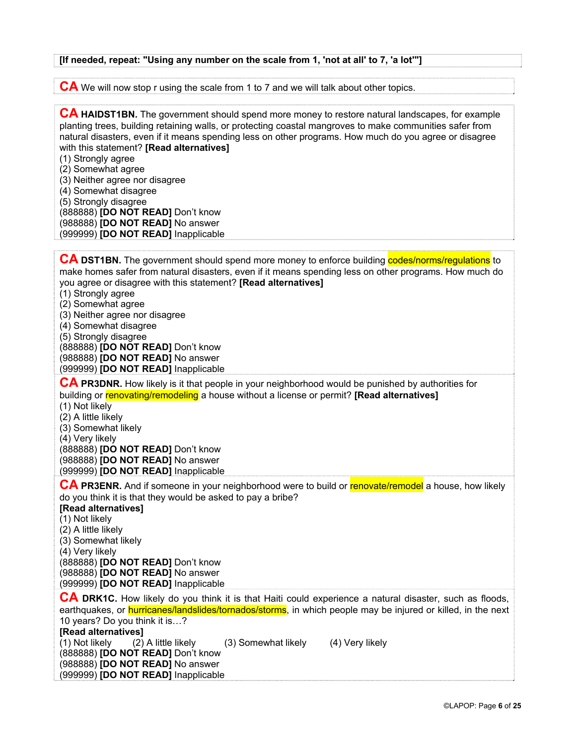# **[If needed, repeat: "Using any number on the scale from 1, 'not at all' to 7, 'a lot'"]**

**CA** We will now stop r using the scale from 1 to 7 and we will talk about other topics.

| <b>CA HAIDST1BN.</b> The government should spend more money to restore natural landscapes, for example<br>planting trees, building retaining walls, or protecting coastal mangroves to make communities safer from<br>natural disasters, even if it means spending less on other programs. How much do you agree or disagree<br>with this statement? [Read alternatives]<br>(1) Strongly agree<br>(2) Somewhat agree<br>(3) Neither agree nor disagree<br>(4) Somewhat disagree<br>(5) Strongly disagree<br>(888888) [DO NOT READ] Don't know<br>(988888) [DO NOT READ] No answer<br>(999999) [DO NOT READ] Inapplicable |
|--------------------------------------------------------------------------------------------------------------------------------------------------------------------------------------------------------------------------------------------------------------------------------------------------------------------------------------------------------------------------------------------------------------------------------------------------------------------------------------------------------------------------------------------------------------------------------------------------------------------------|
| <b>CA DST1BN.</b> The government should spend more money to enforce building <b>codes/norms/regulations</b> to<br>make homes safer from natural disasters, even if it means spending less on other programs. How much do<br>you agree or disagree with this statement? [Read alternatives]<br>(1) Strongly agree<br>(2) Somewhat agree<br>(3) Neither agree nor disagree<br>(4) Somewhat disagree<br>(5) Strongly disagree<br>(888888) [DO NOT READ] Don't know<br>(988888) [DO NOT READ] No answer<br>(999999) [DO NOT READ] Inapplicable                                                                               |
| CA PR3DNR. How likely is it that people in your neighborhood would be punished by authorities for<br>building or renovating/remodeling a house without a license or permit? [Read alternatives]<br>(1) Not likely<br>(2) A little likely<br>(3) Somewhat likely<br>(4) Very likely<br>(888888) [DO NOT READ] Don't know<br>(988888) [DO NOT READ] No answer<br>(999999) [DO NOT READ] Inapplicable                                                                                                                                                                                                                       |
| CA PR3ENR. And if someone in your neighborhood were to build or renovate/remodel a house, how likely<br>do you think it is that they would be asked to pay a bribe?<br>[Read alternatives]<br>(1) Not likely<br>(2) A little likely<br>(3) Somewhat likely<br>(4) Very likely<br>(888888) [DO NOT READ] Don't know<br>(988888) [DO NOT READ] No answer<br>(999999) [DO NOT READ] Inapplicable                                                                                                                                                                                                                            |
| CA DRK1C. How likely do you think it is that Haiti could experience a natural disaster, such as floods,<br>earthquakes, or <b>hurricanes/landslides/tornados/storms</b> , in which people may be injured or killed, in the next<br>10 years? Do you think it is?<br>[Read alternatives]<br>(1) Not likely<br>(3) Somewhat likely<br>(4) Very likely<br>(2) A little likely<br>(888888) [DO NOT READ] Don't know<br>(988888) <b>[DO NOT READ]</b> No answer                                                                                                                                                               |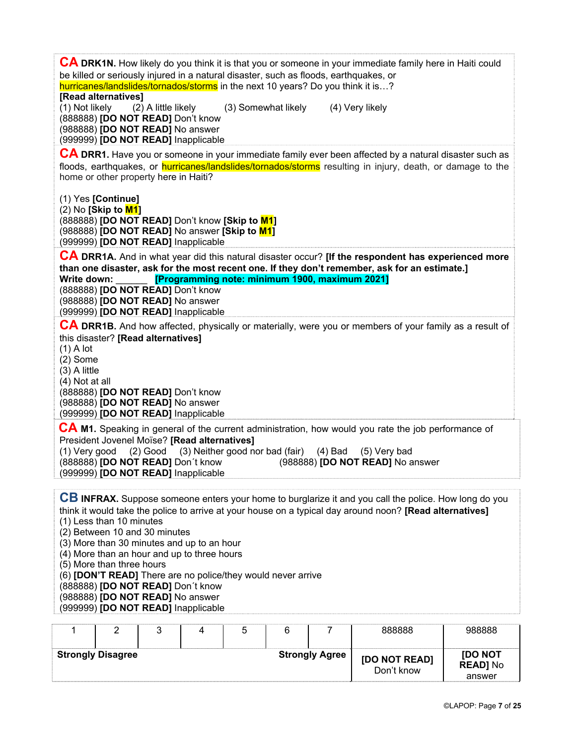| <b>CA DRK1N.</b> How likely do you think it is that you or someone in your immediate family here in Haiti could<br>be killed or seriously injured in a natural disaster, such as floods, earthquakes, or<br>hurricanes/landslides/tornados/storms in the next 10 years? Do you think it is?<br>[Read alternatives]                                                                                                                                                                                            |
|---------------------------------------------------------------------------------------------------------------------------------------------------------------------------------------------------------------------------------------------------------------------------------------------------------------------------------------------------------------------------------------------------------------------------------------------------------------------------------------------------------------|
| (1) Not likely<br>(2) A little likely<br>(3) Somewhat likely<br>(4) Very likely<br>(888888) [DO NOT READ] Don't know<br>(988888) [DO NOT READ] No answer<br>(999999) [DO NOT READ] Inapplicable                                                                                                                                                                                                                                                                                                               |
| CA DRR1. Have you or someone in your immediate family ever been affected by a natural disaster such as<br>floods, earthquakes, or <b>hurricanes/landslides/tornados/storms</b> resulting in injury, death, or damage to the<br>home or other property here in Haiti?                                                                                                                                                                                                                                          |
| (1) Yes [Continue]<br>$(2)$ No [Skip to $M1$ ]<br>(888888) [DO NOT READ] Don't know [Skip to M1]<br>(988888) [DO NOT READ] No answer [Skip to M1]<br>(999999) [DO NOT READ] Inapplicable                                                                                                                                                                                                                                                                                                                      |
| CA DRR1A. And in what year did this natural disaster occur? [If the respondent has experienced more                                                                                                                                                                                                                                                                                                                                                                                                           |
| than one disaster, ask for the most recent one. If they don't remember, ask for an estimate.]<br>[Programming note: minimum 1900, maximum 2021]<br>Write down:                                                                                                                                                                                                                                                                                                                                                |
| (888888) [DO NOT READ] Don't know<br>(988888) [DO NOT READ] No answer<br>(999999) [DO NOT READ] Inapplicable                                                                                                                                                                                                                                                                                                                                                                                                  |
| <b>CA DRR1B.</b> And how affected, physically or materially, were you or members of your family as a result of<br>this disaster? [Read alternatives]<br>$(1)$ A lot<br>$(2)$ Some<br>$(3)$ A little<br>(4) Not at all<br>(888888) [DO NOT READ] Don't know<br>(988888) [DO NOT READ] No answer<br>(999999) [DO NOT READ] Inapplicable                                                                                                                                                                         |
| CA M1. Speaking in general of the current administration, how would you rate the job performance of<br>President Jovenel Moïse? [Read alternatives]<br>(1) Very good<br>(2) Good<br>(3) Neither good nor bad (fair)<br>$(4)$ Bad<br>(5) Very bad<br>(888888) [DO NOT READ] Don't know<br>(988888) [DO NOT READ] No answer<br>(999999) [DO NOT READ] Inapplicable                                                                                                                                              |
|                                                                                                                                                                                                                                                                                                                                                                                                                                                                                                               |
| CB INFRAX. Suppose someone enters your home to burglarize it and you call the police. How long do you<br>think it would take the police to arrive at your house on a typical day around noon? [Read alternatives]<br>(1) Less than 10 minutes<br>(2) Between 10 and 30 minutes<br>(3) More than 30 minutes and up to an hour<br>(4) More than an hour and up to three hours<br>(5) More than three hours<br>(6) [DON'T READ] There are no police/they would never arrive<br>(888888) [DO NOT READ] Don't know |

(988888) **[DO NOT READ]** No answer

(999999) **[DO NOT READ]** Inapplicable

|                          |  |  |                       | 888888                      | 988888                                      |
|--------------------------|--|--|-----------------------|-----------------------------|---------------------------------------------|
| <b>Strongly Disagree</b> |  |  | <b>Strongly Agree</b> | [DO NOT READ]<br>Don't know | <b>IDO NOT</b><br><b>READ] No</b><br>answer |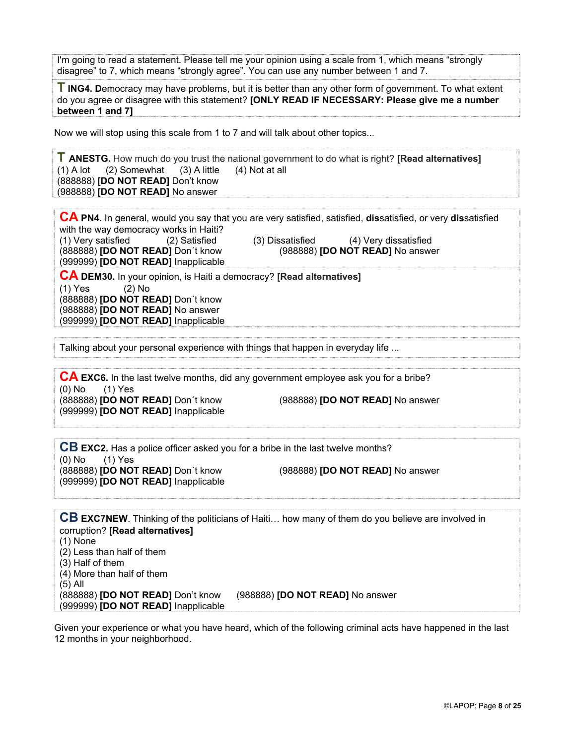I'm going to read a statement. Please tell me your opinion using a scale from 1, which means "strongly disagree" to 7, which means "strongly agree". You can use any number between 1 and 7.

**T ING4. D**emocracy may have problems, but it is better than any other form of government. To what extent do you agree or disagree with this statement? **[ONLY READ IF NECESSARY: Please give me a number between 1 and 7]** 

Now we will stop using this scale from 1 to 7 and will talk about other topics...

**T ANESTG.** How much do you trust the national government to do what is right? **[Read alternatives]**   $(2)$  Somewhat (888888) **[DO NOT READ]** Don't know (988888) **[DO NOT READ]** No answer

**CA PN4.** In general, would you say that you are very satisfied, satisfied, **dis**satisfied, or very **dis**satisfied with the way democracy works in Haiti? (1) Very satisfied (2) Satisfied (3) Dissatisfied (4) Very dissatisfied<br>(888888) **IDO NOT READI** Don't know (988888) **IDO NOT READI** No answe (988888) **[DO NOT READ]** No answer (999999) **[DO NOT READ]** Inapplicable **CA DEM30.** In your opinion, is Haiti a democracy? **[Read alternatives]** 

(1) Yes (2) No (888888) **[DO NOT READ]** Don´t know (988888) **[DO NOT READ]** No answer (999999) **[DO NOT READ]** Inapplicable

Talking about your personal experience with things that happen in everyday life ...

**CA EXC6.** In the last twelve months, did any government employee ask you for a bribe?  $(0)$  No  $(1)$  Yes (888888) **[DO NOT READ]** Don´t know (988888) **[DO NOT READ]** No answer

(999999) **[DO NOT READ]** Inapplicable

**CB EXC2.** Has a police officer asked you for a bribe in the last twelve months? (0) No (1) Yes (888888) **[DO NOT READ]** Don´t know (988888) **[DO NOT READ]** No answer (999999) **[DO NOT READ]** Inapplicable

**CB EXC7NEW**. Thinking of the politicians of Haiti… how many of them do you believe are involved in corruption? **[Read alternatives]**  (1) None (2) Less than half of them (3) Half of them (4) More than half of them (5) All (888888) **[DO NOT READ]** Don't know (988888) **[DO NOT READ]** No answer (999999) **[DO NOT READ]** Inapplicable

Given your experience or what you have heard, which of the following criminal acts have happened in the last 12 months in your neighborhood.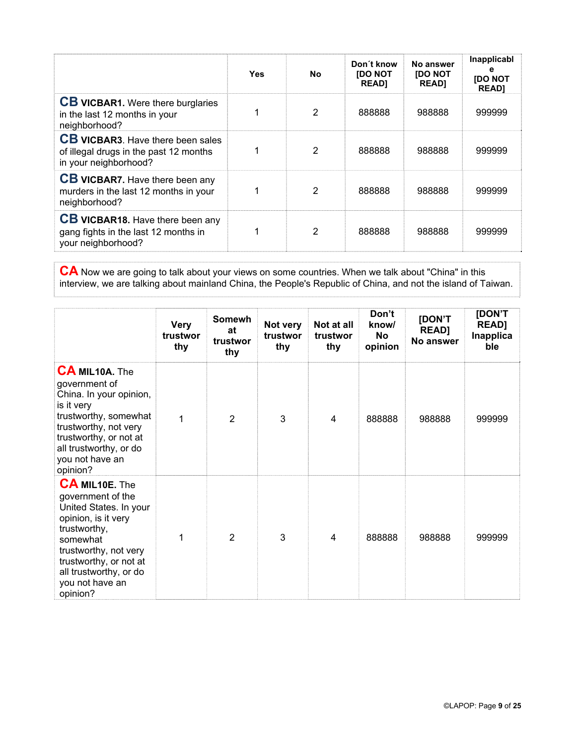|                                                                                                             | <b>Yes</b> | No            | Don't know<br><b>IDO NOT</b><br><b>READ1</b> | No answer<br><b>[DO NOT</b><br><b>READ]</b> | Inapplicabl<br>е<br><b>[DO NOT</b><br><b>READ1</b> |
|-------------------------------------------------------------------------------------------------------------|------------|---------------|----------------------------------------------|---------------------------------------------|----------------------------------------------------|
| <b>CB VICBAR1.</b> Were there burglaries<br>in the last 12 months in your<br>neighborhood?                  |            | 2             | 888888                                       | 988888                                      | 999999                                             |
| <b>CB VICBAR3.</b> Have there been sales<br>of illegal drugs in the past 12 months<br>in your neighborhood? |            | $\mathcal{P}$ | 888888                                       | 988888                                      | 999999                                             |
| <b>CB VICBAR7.</b> Have there been any<br>murders in the last 12 months in your<br>neighborhood?            |            | $\mathcal{P}$ | 888888                                       | 988888                                      | 999999                                             |
| <b>CB VICBAR18.</b> Have there been any<br>gang fights in the last 12 months in<br>your neighborhood?       |            | 2             | 888888                                       | 988888                                      | 999999                                             |

**CA** Now we are going to talk about your views on some countries. When we talk about "China" in this interview, we are talking about mainland China, the People's Republic of China, and not the island of Taiwan.

|                                                                                                                                                                                                                                     | <b>Very</b><br>trustwor<br>thy | <b>Somewh</b><br>at<br>trustwor<br>thy | Not very<br>trustwor<br>thy | Not at all<br>trustwor<br>thy | Don't<br>know/<br>No<br>opinion | [DON'T<br><b>READ]</b><br>No answer | [DON'T<br><b>READ]</b><br>Inapplica<br>ble |
|-------------------------------------------------------------------------------------------------------------------------------------------------------------------------------------------------------------------------------------|--------------------------------|----------------------------------------|-----------------------------|-------------------------------|---------------------------------|-------------------------------------|--------------------------------------------|
| <b>CA MIL10A.</b> The<br>government of<br>China. In your opinion,<br>is it very<br>trustworthy, somewhat<br>trustworthy, not very<br>trustworthy, or not at<br>all trustworthy, or do<br>you not have an<br>opinion?                | 1                              | $\overline{2}$                         | 3                           | 4                             | 888888                          | 988888                              | 999999                                     |
| <b>CA MIL10E.</b> The<br>government of the<br>United States. In your<br>opinion, is it very<br>trustworthy,<br>somewhat<br>trustworthy, not very<br>trustworthy, or not at<br>all trustworthy, or do<br>you not have an<br>opinion? | 1                              | $\mathfrak{p}$                         | 3                           | 4                             | 888888                          | 988888                              | 999999                                     |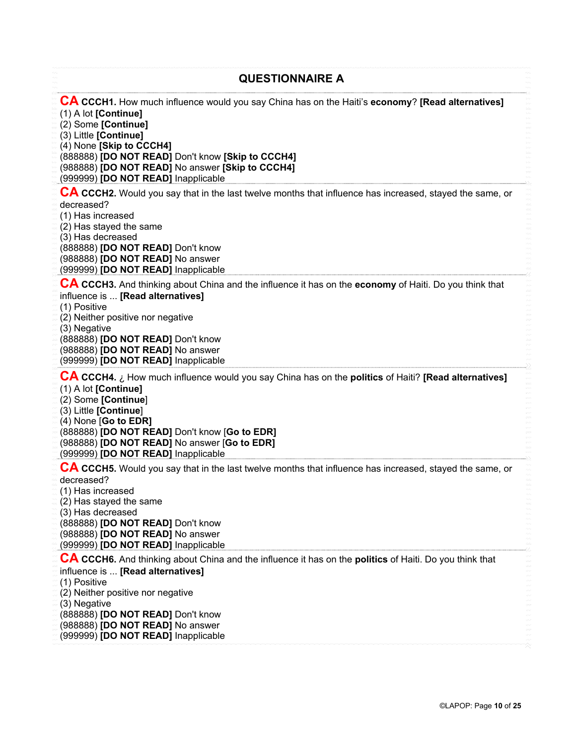| <b>QUESTIONNAIRE A</b>                                                                                                                                                                                                                                                                                                                                 |
|--------------------------------------------------------------------------------------------------------------------------------------------------------------------------------------------------------------------------------------------------------------------------------------------------------------------------------------------------------|
| CA CCCH1. How much influence would you say China has on the Haiti's economy? [Read alternatives]<br>(1) A lot [Continue]<br>(2) Some [Continue]<br>(3) Little [Continue]<br>(4) None [Skip to CCCH4]<br>(888888) [DO NOT READ] Don't know [Skip to CCCH4]<br>(988888) [DO NOT READ] No answer [Skip to CCCH4]<br>(999999) [DO NOT READ] Inapplicable   |
| CA CCCH2. Would you say that in the last twelve months that influence has increased, stayed the same, or<br>decreased?<br>(1) Has increased<br>(2) Has stayed the same<br>(3) Has decreased<br>(888888) [DO NOT READ] Don't know<br>(988888) [DO NOT READ] No answer<br>(999999) [DO NOT READ] Inapplicable                                            |
| CA CCCH3. And thinking about China and the influence it has on the economy of Haiti. Do you think that<br>influence is  [Read alternatives]<br>(1) Positive<br>(2) Neither positive nor negative<br>(3) Negative<br>(888888) [DO NOT READ] Don't know<br>(988888) [DO NOT READ] No answer<br>(999999) [DO NOT READ] Inapplicable                       |
| $CA$ CCCH4. $\lambda$ How much influence would you say China has on the politics of Haiti? [Read alternatives]<br>(1) A lot [Continue]<br>(2) Some [Continue]<br>(3) Little [Continue]<br>(4) None [Go to EDR]<br>(888888) [DO NOT READ] Don't know [Go to EDR]<br>(988888) [DO NOT READ] No answer [Go to EDR]<br>(999999) [DO NOT READ] Inapplicable |
| CA CCCH5. Would you say that in the last twelve months that influence has increased, stayed the same, or<br>decreased?<br>(1) Has increased<br>(2) Has stayed the same<br>(3) Has decreased<br>(888888) [DO NOT READ] Don't know<br>(988888) [DO NOT READ] No answer<br>(999999) [DO NOT READ] Inapplicable                                            |
| CA CCCH6. And thinking about China and the influence it has on the politics of Haiti. Do you think that<br>influence is  [Read alternatives]<br>(1) Positive<br>(2) Neither positive nor negative<br>(3) Negative<br>(888888) [DO NOT READ] Don't know<br>(988888) [DO NOT READ] No answer<br>(999999) [DO NOT READ] Inapplicable                      |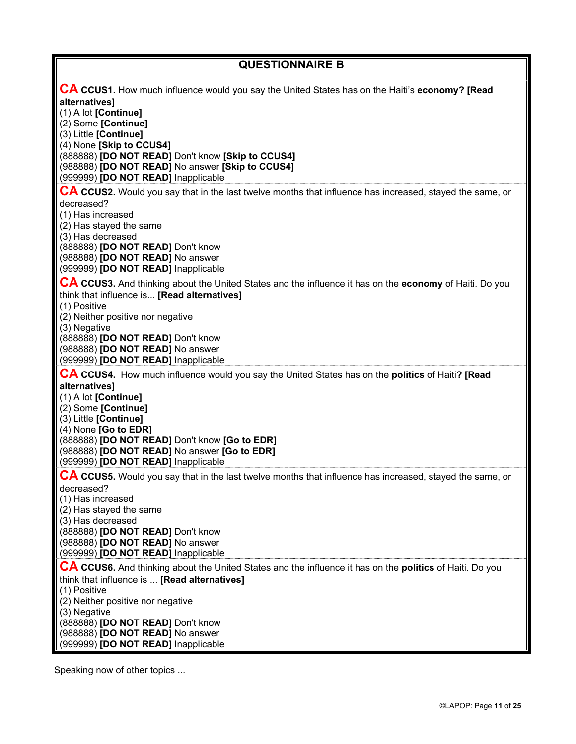| <b>QUESTIONNAIRE B</b>                                                                                                                                                                                                                                                                                                                                                     |
|----------------------------------------------------------------------------------------------------------------------------------------------------------------------------------------------------------------------------------------------------------------------------------------------------------------------------------------------------------------------------|
| <b>CA CCUS1.</b> How much influence would you say the United States has on the Haiti's economy? [Read<br>alternatives]<br>(1) A lot [Continue]<br>(2) Some [Continue]<br>(3) Little [Continue]<br>(4) None [Skip to CCUS4]<br>(888888) [DO NOT READ] Don't know [Skip to CCUS4]<br>(988888) [DO NOT READ] No answer [Skip to CCUS4]<br>(999999) [DO NOT READ] Inapplicable |
| <b>CA CCUS2.</b> Would you say that in the last twelve months that influence has increased, stayed the same, or<br>decreased?<br>(1) Has increased<br>(2) Has stayed the same<br>(3) Has decreased<br>(888888) [DO NOT READ] Don't know<br>(988888) [DO NOT READ] No answer<br>(999999) [DO NOT READ] Inapplicable                                                         |
| CA CCUS3. And thinking about the United States and the influence it has on the economy of Haiti. Do you<br>think that influence is [Read alternatives]<br>(1) Positive<br>(2) Neither positive nor negative<br>(3) Negative<br>(888888) [DO NOT READ] Don't know<br>(988888) [DO NOT READ] No answer<br>(999999) [DO NOT READ] Inapplicable                                |
| <b>CA CCUS4.</b> How much influence would you say the United States has on the <b>politics</b> of Haiti? [Read<br>alternatives]<br>(1) A lot [Continue]<br>(2) Some [Continue]<br>(3) Little [Continue]<br>(4) None [Go to EDR]<br>(888888) [DO NOT READ] Don't know [Go to EDR]<br>(988888) [DO NOT READ] No answer [Go to EDR]<br>(999999) [DO NOT READ] Inapplicable    |
| CA CCUS5. Would you say that in the last twelve months that influence has increased, stayed the same, or<br>decreased?<br>(1) Has increased<br>(2) Has stayed the same<br>(3) Has decreased<br>(888888) [DO NOT READ] Don't know<br>(988888) [DO NOT READ] No answer<br>(999999) [DO NOT READ] Inapplicable                                                                |
| CA CCUS6. And thinking about the United States and the influence it has on the politics of Haiti. Do you<br>think that influence is  [Read alternatives]<br>(1) Positive<br>(2) Neither positive nor negative<br>(3) Negative<br>(888888) [DO NOT READ] Don't know<br>(988888) [DO NOT READ] No answer<br>(999999) [DO NOT READ] Inapplicable                              |

Speaking now of other topics ...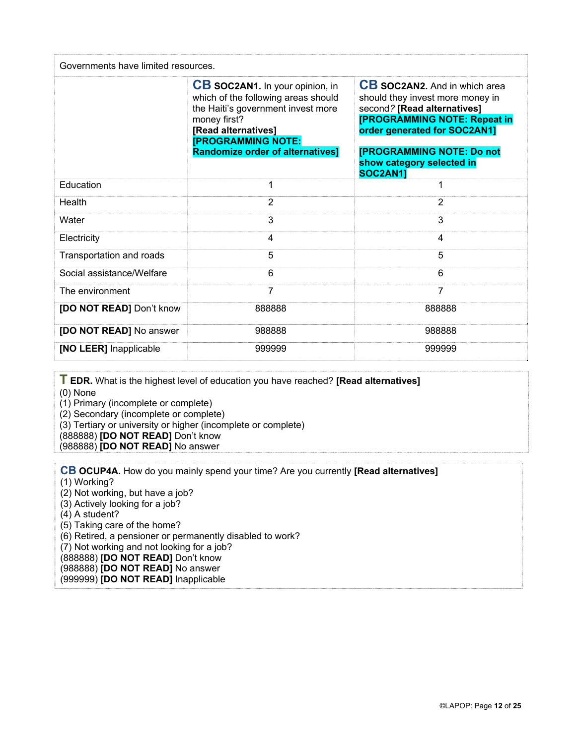| Governments have limited resources. |                                                                                                                                                                                                                                    |                                                                                                                                                                                                                                                             |  |
|-------------------------------------|------------------------------------------------------------------------------------------------------------------------------------------------------------------------------------------------------------------------------------|-------------------------------------------------------------------------------------------------------------------------------------------------------------------------------------------------------------------------------------------------------------|--|
|                                     | <b>CB SOC2AN1.</b> In your opinion, in<br>which of the following areas should<br>the Haiti's government invest more<br>money first?<br>[Read alternatives]<br><b>[PROGRAMMING NOTE:</b><br><b>Randomize order of alternatives]</b> | <b>CB SOC2AN2.</b> And in which area<br>should they invest more money in<br>second? [Read alternatives]<br><b>[PROGRAMMING NOTE: Repeat in</b><br>order generated for SOC2AN1]<br>[PROGRAMMING NOTE: Do not<br>show category selected in<br><b>SOC2AN11</b> |  |
| Education                           | 1                                                                                                                                                                                                                                  |                                                                                                                                                                                                                                                             |  |
| Health                              | $\overline{2}$                                                                                                                                                                                                                     | $\overline{2}$                                                                                                                                                                                                                                              |  |
| Water                               | 3                                                                                                                                                                                                                                  | 3                                                                                                                                                                                                                                                           |  |
| Electricity                         | 4                                                                                                                                                                                                                                  | 4                                                                                                                                                                                                                                                           |  |
| Transportation and roads            | 5                                                                                                                                                                                                                                  | 5                                                                                                                                                                                                                                                           |  |
| Social assistance/Welfare           | 6                                                                                                                                                                                                                                  | 6                                                                                                                                                                                                                                                           |  |
| The environment                     | 7                                                                                                                                                                                                                                  | 7                                                                                                                                                                                                                                                           |  |
| [DO NOT READ] Don't know            | 888888                                                                                                                                                                                                                             | 888888                                                                                                                                                                                                                                                      |  |
| [DO NOT READ] No answer             | 988888                                                                                                                                                                                                                             | 988888                                                                                                                                                                                                                                                      |  |
| [NO LEER] Inapplicable              | 999999                                                                                                                                                                                                                             | 999999                                                                                                                                                                                                                                                      |  |

**T EDR.** What is the highest level of education you have reached? **[Read alternatives]**

(0) None

(1) Primary (incomplete or complete)

(2) Secondary (incomplete or complete)

(3) Tertiary or university or higher (incomplete or complete)

(888888) **[DO NOT READ]** Don't know

(988888) **[DO NOT READ]** No answer

**CB OCUP4A.** How do you mainly spend your time? Are you currently **[Read alternatives]**

(1) Working?

(2) Not working, but have a job?

(3) Actively looking for a job?

(4) A student?

(5) Taking care of the home?

(6) Retired, a pensioner or permanently disabled to work?

(7) Not working and not looking for a job?

(888888) **[DO NOT READ]** Don't know

(988888) **[DO NOT READ]** No answer

(999999) **[DO NOT READ]** Inapplicable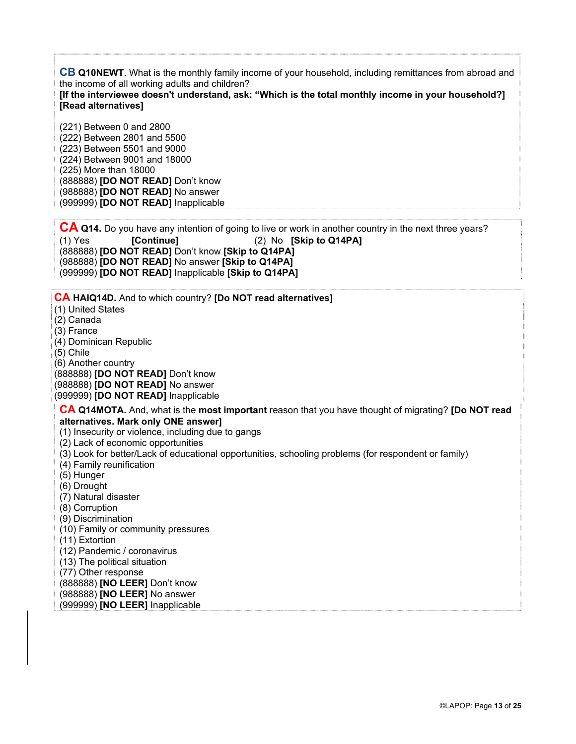**CB Q10NEWT**. What is the monthly family income of your household, including remittances from abroad and the income of all working adults and children?

**[If the interviewee doesn't understand, ask: "Which is the total monthly income in your household?] [Read alternatives]** 

(221) Between 0 and 2800 (222) Between 2801 and 5500 (223) Between 5501 and 9000 (224) Between 9001 and 18000 (225) More than 18000 (888888) **[DO NOT READ]** Don't know (988888) **[DO NOT READ]** No answer (999999) **[DO NOT READ]** Inapplicable

**CA Q14.** Do you have any intention of going to live or work in another country in the next three years? (1) Yes **[Continue]** (2) No **[Skip to Q14PA]** (888888) **[DO NOT READ]** Don't know **[Skip to Q14PA]** (988888) **[DO NOT READ]** No answer **[Skip to Q14PA]** (999999) **[DO NOT READ]** Inapplicable **[Skip to Q14PA]**

**CA HAIQ14D.** And to which country? **[Do NOT read alternatives]** (1) United States (2) Canada (3) France (4) Dominican Republic (5) Chile (6) Another country (888888) **[DO NOT READ]** Don't know (988888) **[DO NOT READ]** No answer (999999) **[DO NOT READ]** Inapplicable **CA Q14MOTA.** And, what is the **most important** reason that you have thought of migrating? **[Do NOT read alternatives. Mark only ONE answer]**  (1) Insecurity or violence, including due to gangs (2) Lack of economic opportunities (3) Look for better/Lack of educational opportunities, schooling problems (for respondent or family) (4) Family reunification (5) Hunger (6) Drought (7) Natural disaster (8) Corruption (9) Discrimination (10) Family or community pressures (11) Extortion (12) Pandemic / coronavirus (13) The political situation (77) Other response (888888) **[NO LEER]** Don't know (988888) **[NO LEER]** No answer (999999) **[NO LEER]** Inapplicable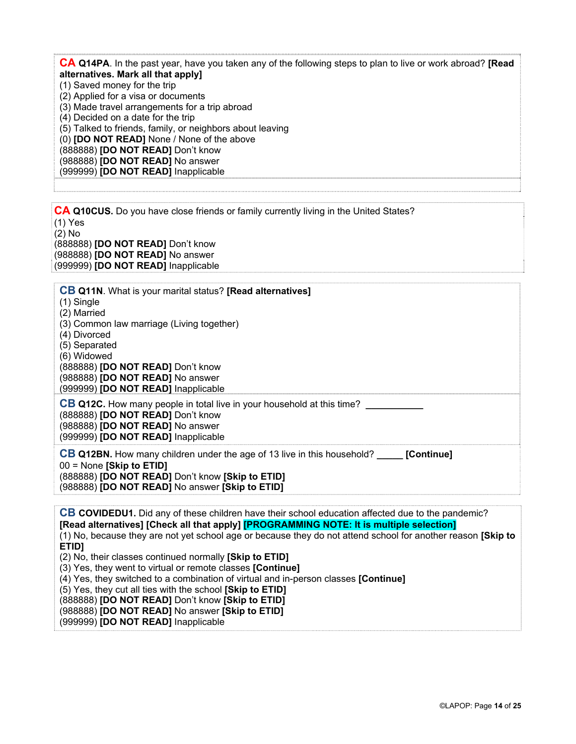**CA Q14PA**. In the past year, have you taken any of the following steps to plan to live or work abroad? **[Read alternatives. Mark all that apply]** (1) Saved money for the trip (2) Applied for a visa or documents (3) Made travel arrangements for a trip abroad (4) Decided on a date for the trip (5) Talked to friends, family, or neighbors about leaving (0) **[DO NOT READ]** None / None of the above (888888) **[DO NOT READ]** Don't know (988888) **[DO NOT READ]** No answer (999999) **[DO NOT READ]** Inapplicable

**CA Q10CUS.** Do you have close friends or family currently living in the United States? (1) Yes (2) No (888888) **[DO NOT READ]** Don't know (988888) **[DO NOT READ]** No answer (999999) **[DO NOT READ]** Inapplicable

| <b>CB Q11N.</b> What is your marital status? [Read alternatives]                                                                |
|---------------------------------------------------------------------------------------------------------------------------------|
| $(1)$ Single                                                                                                                    |
| (2) Married                                                                                                                     |
| (3) Common law marriage (Living together)                                                                                       |
| (4) Divorced                                                                                                                    |
| (5) Separated                                                                                                                   |
| (6) Widowed                                                                                                                     |
| (888888) <b>[DO NOT READ]</b> Don't know                                                                                        |
| (988888) <b>[DO NOT READ]</b> No answer                                                                                         |
| (999999) <b>[DO NOT READ]</b> Inapplicable                                                                                      |
| <b>CB Q12C.</b> How many people in total live in your household at this time?                                                   |
| (888888) [DO NOT READ] Don't know                                                                                               |
| (988888) <b>[DO NOT READ]</b> No answer                                                                                         |
| (999999) [DO NOT READ] Inapplicable                                                                                             |
| CB Q12BN. How many children under the age of 13 live in this household?<br>[Continue]                                           |
| $00 =$ None [Skip to ETID]                                                                                                      |
| (888888) <b>[DO NOT READ]</b> Don't know <b>[Skip to ETID]</b><br>(988888) <b>[DO NOT READ]</b> No answer <b>[Skip to ETID]</b> |
|                                                                                                                                 |
|                                                                                                                                 |
| <b>CB COVIDEDU1.</b> Did any of these children have their school education affected due to the pandemic?                        |

**[Read alternatives] [Check all that apply] [PROGRAMMING NOTE: It is multiple selection]** (1) No, because they are not yet school age or because they do not attend school for another reason **[Skip to ETID]** (2) No, their classes continued normally **[Skip to ETID]** (3) Yes, they went to virtual or remote classes **[Continue]** (4) Yes, they switched to a combination of virtual and in-person classes **[Continue]** (5) Yes, they cut all ties with the school **[Skip to ETID]** (888888) **[DO NOT READ]** Don't know **[Skip to ETID]** (988888) **[DO NOT READ]** No answer **[Skip to ETID]** (999999) **[DO NOT READ]** Inapplicable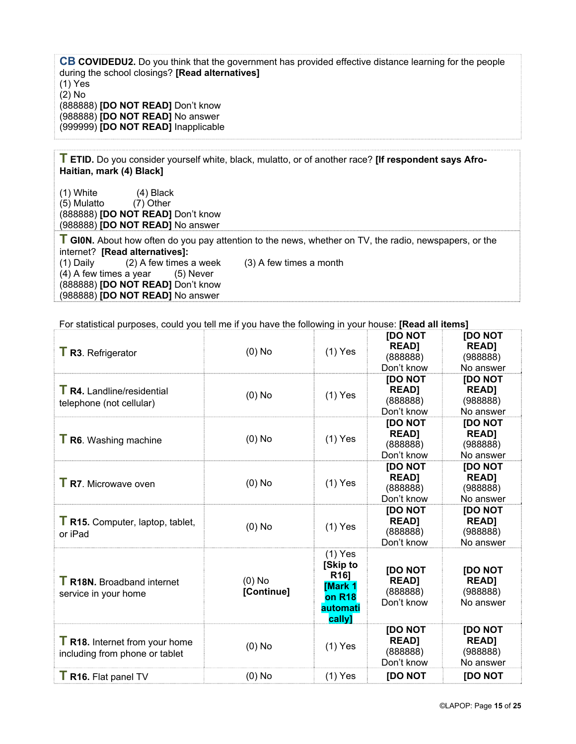**CB COVIDEDU2.** Do you think that the government has provided effective distance learning for the people during the school closings? **[Read alternatives]**  (1) Yes (2) No (888888) **[DO NOT READ]** Don't know (988888) **[DO NOT READ]** No answer (999999) **[DO NOT READ]** Inapplicable

**T ETID.** Do you consider yourself white, black, mulatto, or of another race? **[If respondent says Afro-Haitian, mark (4) Black]** 

(1) White (4) Black (5) Mulatto (7) Other (888888) **[DO NOT READ]** Don't know (988888) **[DO NOT READ]** No answer

**T GI0N.** About how often do you pay attention to the news, whether on TV, the radio, newspapers, or the internet? **[Read alternatives]:**  (1) Daily (2) A few times a week (3) A few times a month  $(4)$  A few times a year  $(5)$  Never (888888) **[DO NOT READ]** Don't know (988888) **[DO NOT READ]** No answer

For statistical purposes, could you tell me if you have the following in your house: **[Read all items]**

| T R16. Flat panel TV                                                    | $(0)$ No               | $(1)$ Yes                                                                                               | <b>IDO NOT</b>                                           | <b>IDO NOT</b>                                          |
|-------------------------------------------------------------------------|------------------------|---------------------------------------------------------------------------------------------------------|----------------------------------------------------------|---------------------------------------------------------|
| <b>T R18.</b> Internet from your home<br>including from phone or tablet | $(0)$ No               | $(1)$ Yes                                                                                               | [DO NOT<br><b>READ]</b><br>(888888)<br>Don't know        | [DO NOT<br><b>READ1</b><br>(988888)<br>No answer        |
| <b>T R18N.</b> Broadband internet<br>service in your home               | $(0)$ No<br>[Continue] | $(1)$ Yes<br>[Skip to<br>R <sub>16</sub> ]<br><b>Mark 1</b><br>on R <sub>18</sub><br>automati<br>cally] | <b>JDO NOT</b><br><b>READ]</b><br>(888888)<br>Don't know | <b>IDO NOT</b><br><b>READ]</b><br>(988888)<br>No answer |
| T R15. Computer, laptop, tablet,<br>or iPad                             | $(0)$ No               | $(1)$ Yes                                                                                               | <b>IDO NOT</b><br><b>READ]</b><br>(888888)<br>Don't know | <b>IDO NOT</b><br><b>READ]</b><br>(988888)<br>No answer |
| <b>T</b> R7. Microwave oven                                             | $(0)$ No               | $(1)$ Yes                                                                                               | [DO NOT<br><b>READ]</b><br>(888888)<br>Don't know        | <b>IDO NOT</b><br><b>READ]</b><br>(988888)<br>No answer |
| <b>T</b> R6. Washing machine                                            | $(0)$ No               | $(1)$ Yes                                                                                               | <b>IDO NOT</b><br><b>READ]</b><br>(888888)<br>Don't know | [DO NOT<br><b>READ]</b><br>(988888)<br>No answer        |
| <b>T</b> R4. Landline/residential<br>telephone (not cellular)           | $(0)$ No               | $(1)$ Yes                                                                                               | <b>IDO NOT</b><br><b>READ1</b><br>(888888)<br>Don't know | <b>IDO NOT</b><br><b>READ]</b><br>(988888)<br>No answer |
| T R3. Refrigerator                                                      | $(0)$ No               | $(1)$ Yes                                                                                               | <b>JDO NOT</b><br><b>READ]</b><br>(888888)<br>Don't know | <b>IDO NOT</b><br><b>READ]</b><br>(988888)<br>No answer |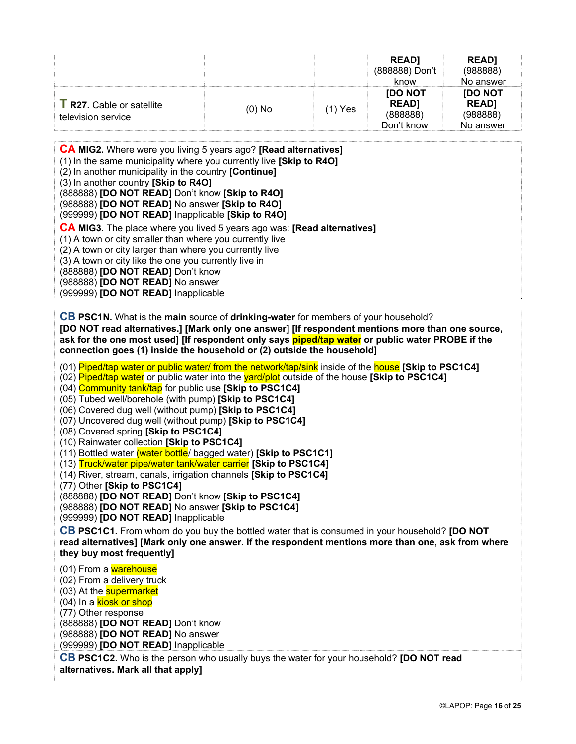|                                                        |          |         | <b>READI</b><br>(888888) Don't<br>know                   | <b>READI</b><br>(988888)<br>No answer                   |
|--------------------------------------------------------|----------|---------|----------------------------------------------------------|---------------------------------------------------------|
| <b>T</b> R27. Cable or satellite<br>television service | $(0)$ No | (1) Yes | <b>JOO NOT</b><br><b>READ1</b><br>(888888)<br>Don't know | <b>IDO NOT</b><br><b>READ1</b><br>(988888)<br>No answer |

| <b>CA MIG2.</b> Where were you living 5 years ago? <b>[Read alternatives]</b><br>(1) In the same municipality where you currently live [Skip to R4O]<br>(2) In another municipality in the country [Continue]<br>(3) In another country [Skip to R4O]<br>(888888) [DO NOT READ] Don't know [Skip to R4O]<br>(988888) [DO NOT READ] No answer [Skip to R4O]<br>(999999) [DO NOT READ] Inapplicable [Skip to R4O] |
|-----------------------------------------------------------------------------------------------------------------------------------------------------------------------------------------------------------------------------------------------------------------------------------------------------------------------------------------------------------------------------------------------------------------|
| <b>CA MIG3.</b> The place where you lived 5 years ago was: [Read alternatives]<br>(1) A town or city smaller than where you currently live<br>(2) A town or city larger than where you currently live<br>(3) A town or city like the one you currently live in<br>(888888) [DO NOT READ] Don't know<br>(988888) [DO NOT READ] No answer<br>(999999) [DO NOT READ] Inapplicable                                  |

**CB PSC1N.** What is the **main** source of **drinking-water** for members of your household? **[DO NOT read alternatives.] [Mark only one answer] [If respondent mentions more than one source, ask for the one most used] [If respondent only says piped/tap water or public water PROBE if the connection goes (1) inside the household or (2) outside the household]** 

(01) Piped/tap water or public water/ from the network/tap/sink inside of the house **[Skip to PSC1C4]**

(02) Piped/tap water or public water into the yard/plot outside of the house **[Skip to PSC1C4]** 

(04) Community tank/tap for public use **[Skip to PSC1C4]**

(05) Tubed well/borehole (with pump) **[Skip to PSC1C4]**

(06) Covered dug well (without pump) **[Skip to PSC1C4]**

(07) Uncovered dug well (without pump) **[Skip to PSC1C4]**

(08) Covered spring **[Skip to PSC1C4]**

(10) Rainwater collection **[Skip to PSC1C4]**

(11) Bottled water (water bottle/ bagged water) **[Skip to PSC1C1]**

(13) Truck/water pipe/water tank/water carrier **[Skip to PSC1C4]**

(14) River, stream, canals, irrigation channels **[Skip to PSC1C4]**

(77) Other **[Skip to PSC1C4]**

(888888) **[DO NOT READ]** Don't know **[Skip to PSC1C4]**

(988888) **[DO NOT READ]** No answer **[Skip to PSC1C4]** 

(999999) **[DO NOT READ]** Inapplicable

**CB PSC1C1.** From whom do you buy the bottled water that is consumed in your household? **[DO NOT read alternatives] [Mark only one answer. If the respondent mentions more than one, ask from where they buy most frequently]**

(01) From a warehouse (02) From a delivery truck (03) At the **supermarket** (04) In a kiosk or shop (77) Other response (888888) **[DO NOT READ]** Don't know (988888) **[DO NOT READ]** No answer (999999) **[DO NOT READ]** Inapplicable **CB PSC1C2.** Who is the person who usually buys the water for your household? **[DO NOT read** 

**alternatives. Mark all that apply]**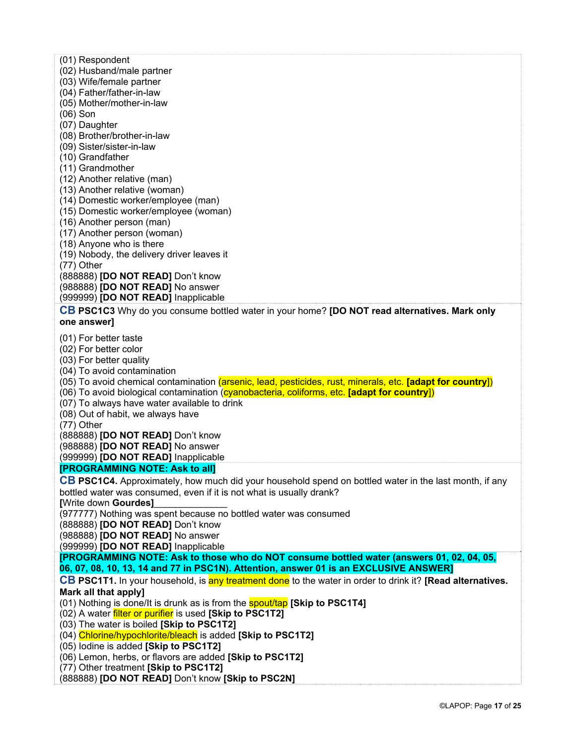- (01) Respondent
- (02) Husband/male partner
- (03) Wife/female partner
- (04) Father/father-in-law
- (05) Mother/mother-in-law
- (06) Son
- (07) Daughter
- (08) Brother/brother-in-law
- (09) Sister/sister-in-law
- (10) Grandfather
- (11) Grandmother
- (12) Another relative (man)
- (13) Another relative (woman)
- (14) Domestic worker/employee (man)
- (15) Domestic worker/employee (woman)
- (16) Another person (man)
- (17) Another person (woman)
- (18) Anyone who is there
- (19) Nobody, the delivery driver leaves it

(77) Other

(888888) **[DO NOT READ]** Don't know (988888) **[DO NOT READ]** No answer

(999999) **[DO NOT READ]** Inapplicable

**CB PSC1C3** Why do you consume bottled water in your home? **[DO NOT read alternatives. Mark only one answer]**

(01) For better taste

- (02) For better color
- (03) For better quality

(04) To avoid contamination

- (05) To avoid chemical contamination (arsenic, lead, pesticides, rust, minerals, etc. **[adapt for country**])
- (06) To avoid biological contamination (cyanobacteria, coliforms, etc. **[adapt for country**])
- (07) To always have water available to drink
- (08) Out of habit, we always have

(77) Other

(888888) **[DO NOT READ]** Don't know

(988888) **[DO NOT READ]** No answer

(999999) **[DO NOT READ]** Inapplicable

#### **[PROGRAMMING NOTE: Ask to all]**

**CB PSC1C4.** Approximately, how much did your household spend on bottled water in the last month, if any bottled water was consumed, even if it is not what is usually drank?

**[**Write down **Gourdes]**\_\_\_\_\_\_\_\_\_\_\_\_\_\_

(977777) Nothing was spent because no bottled water was consumed

(888888) **[DO NOT READ]** Don't know

(988888) **[DO NOT READ]** No answer

(999999) **[DO NOT READ]** Inapplicable

**[PROGRAMMING NOTE: Ask to those who do NOT consume bottled water (answers 01, 02, 04, 05, 06, 07, 08, 10, 13, 14 and 77 in PSC1N). Attention, answer 01 is an EXCLUSIVE ANSWER]** 

#### **CB PSC1T1.** In your household, is any treatment done to the water in order to drink it? **[Read alternatives.**

#### **Mark all that apply]**

(01) Nothing is done/It is drunk as is from the spout/tap **[Skip to PSC1T4]**

(02) A water filter or purifier is used **[Skip to PSC1T2]**

(03) The water is boiled **[Skip to PSC1T2]**

(04) Chlorine/hypochlorite/bleach is added **[Skip to PSC1T2]**

- (05) Iodine is added **[Skip to PSC1T2]**
- (06) Lemon, herbs, or flavors are added **[Skip to PSC1T2]**

(77) Other treatment **[Skip to PSC1T2]**

(888888) **[DO NOT READ]** Don't know **[Skip to PSC2N]**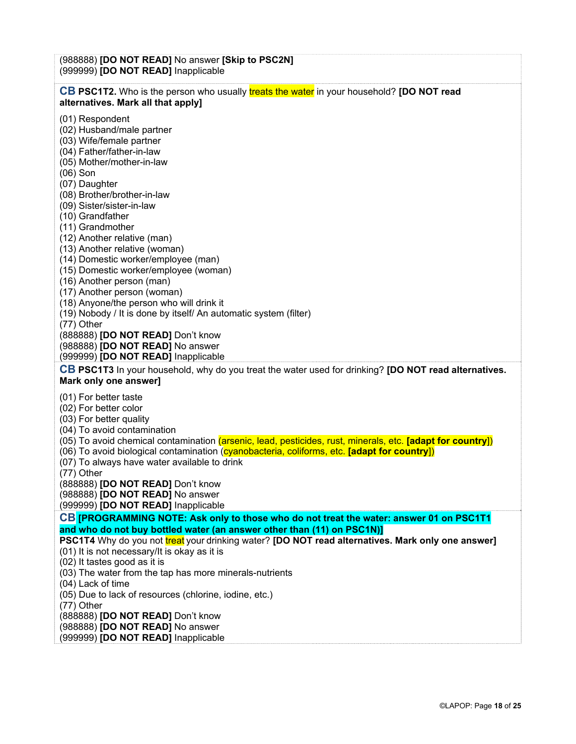(988888) **[DO NOT READ]** No answer **[Skip to PSC2N]**  (999999) **[DO NOT READ]** Inapplicable **CB PSC1T2.** Who is the person who usually treats the water in your household? **[DO NOT read alternatives. Mark all that apply]** (01) Respondent (02) Husband/male partner (03) Wife/female partner (04) Father/father-in-law (05) Mother/mother-in-law (06) Son (07) Daughter (08) Brother/brother-in-law (09) Sister/sister-in-law (10) Grandfather (11) Grandmother (12) Another relative (man) (13) Another relative (woman) (14) Domestic worker/employee (man) (15) Domestic worker/employee (woman) (16) Another person (man) (17) Another person (woman) (18) Anyone/the person who will drink it (19) Nobody / It is done by itself/ An automatic system (filter) (77) Other (888888) **[DO NOT READ]** Don't know (988888) **[DO NOT READ]** No answer (999999) **[DO NOT READ]** Inapplicable **CB PSC1T3** In your household, why do you treat the water used for drinking? **[DO NOT read alternatives. Mark only one answer]** (01) For better taste (02) For better color (03) For better quality (04) To avoid contamination (05) To avoid chemical contamination (arsenic, lead, pesticides, rust, minerals, etc. **[adapt for country**]) (06) To avoid biological contamination (cyanobacteria, coliforms, etc. **[adapt for country**]) (07) To always have water available to drink (77) Other (888888) **[DO NOT READ]** Don't know (988888) **[DO NOT READ]** No answer (999999) **[DO NOT READ]** Inapplicable **CB [PROGRAMMING NOTE: Ask only to those who do not treat the water: answer 01 on PSC1T1 and who do not buy bottled water (an answer other than (11) on PSC1N)] PSC1T4** Why do you not treat your drinking water? **[DO NOT read alternatives. Mark only one answer]** (01) It is not necessary/It is okay as it is (02) It tastes good as it is (03) The water from the tap has more minerals-nutrients (04) Lack of time (05) Due to lack of resources (chlorine, iodine, etc.) (77) Other (888888) **[DO NOT READ]** Don't know (988888) **[DO NOT READ]** No answer (999999) **[DO NOT READ]** Inapplicable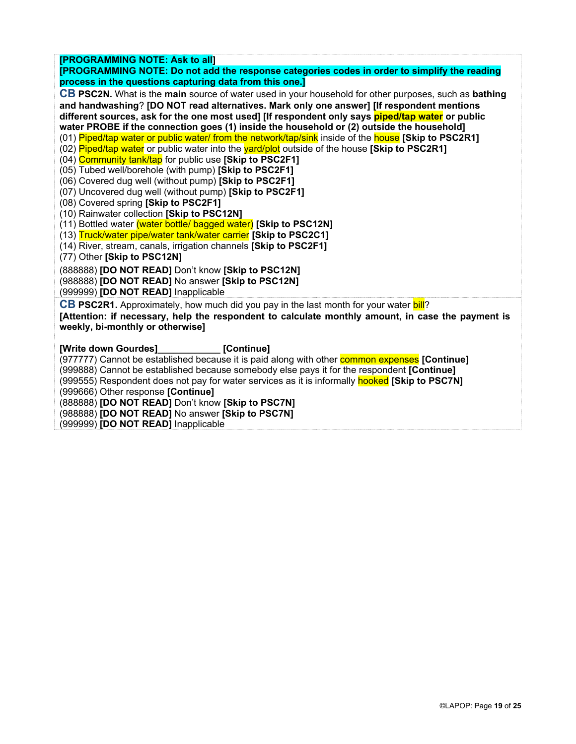**[PROGRAMMING NOTE: Ask to all] [PROGRAMMING NOTE: Do not add the response categories codes in order to simplify the reading process in the questions capturing data from this one.] CB PSC2N.** What is the **main** source of water used in your household for other purposes, such as **bathing and handwashing**? **[DO NOT read alternatives. Mark only one answer] [If respondent mentions different sources, ask for the one most used] [If respondent only says piped/tap water or public water PROBE if the connection goes (1) inside the household or (2) outside the household]**  (01) Piped/tap water or public water/ from the network/tap/sink inside of the house **[Skip to PSC2R1]** (02) Piped/tap water or public water into the yard/plot outside of the house **[Skip to PSC2R1]**  (04) Community tank/tap for public use **[Skip to PSC2F1]** (05) Tubed well/borehole (with pump) **[Skip to PSC2F1]** (06) Covered dug well (without pump) **[Skip to PSC2F1]** (07) Uncovered dug well (without pump) **[Skip to PSC2F1]** (08) Covered spring **[Skip to PSC2F1]** (10) Rainwater collection **[Skip to PSC12N]** (11) Bottled water (water bottle/ bagged water) **[Skip to PSC12N]** (13) Truck/water pipe/water tank/water carrier **[Skip to PSC2C1]** (14) River, stream, canals, irrigation channels **[Skip to PSC2F1]** (77) Other **[Skip to PSC12N]** (888888) **[DO NOT READ]** Don't know **[Skip to PSC12N]** (988888) **[DO NOT READ]** No answer **[Skip to PSC12N]**  (999999) **[DO NOT READ]** Inapplicable **CB PSC2R1.** Approximately, how much did you pay in the last month for your water bill? **[Attention: if necessary, help the respondent to calculate monthly amount, in case the payment is weekly, bi-monthly or otherwise] [Write down Gourdes]\_\_\_\_\_\_\_\_\_\_\_\_ [Continue]**  (977777) Cannot be established because it is paid along with other common expenses **[Continue]** (999888) Cannot be established because somebody else pays it for the respondent **[Continue]** (999555) Respondent does not pay for water services as it is informally hooked **[Skip to PSC7N]** (999666) Other response **[Continue]** (888888) **[DO NOT READ]** Don't know **[Skip to PSC7N]** (988888) **[DO NOT READ]** No answer **[Skip to PSC7N]** (999999) **[DO NOT READ]** Inapplicable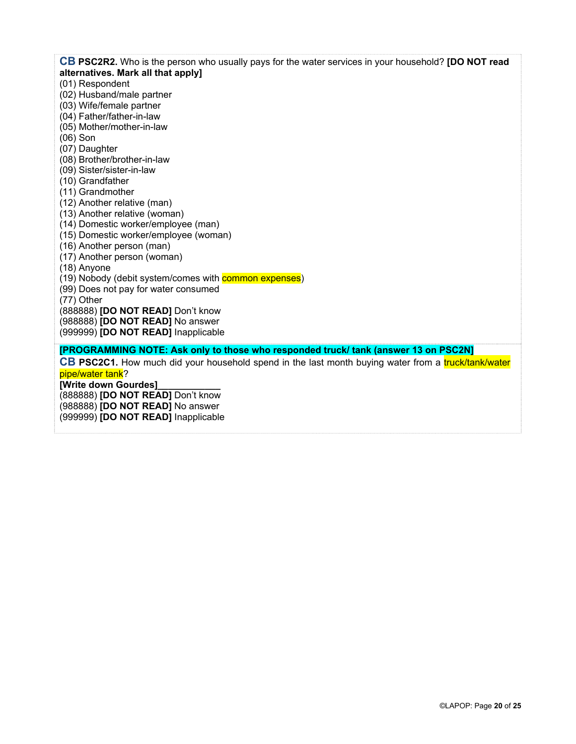**CB PSC2R2.** Who is the person who usually pays for the water services in your household? **[DO NOT read alternatives. Mark all that apply]** (01) Respondent (02) Husband/male partner (03) Wife/female partner (04) Father/father-in-law (05) Mother/mother-in-law (06) Son (07) Daughter (08) Brother/brother-in-law (09) Sister/sister-in-law (10) Grandfather (11) Grandmother (12) Another relative (man) (13) Another relative (woman) (14) Domestic worker/employee (man) (15) Domestic worker/employee (woman) (16) Another person (man) (17) Another person (woman) (18) Anyone (19) Nobody (debit system/comes with **common expenses**) (99) Does not pay for water consumed (77) Other (888888) **[DO NOT READ]** Don't know (988888) **[DO NOT READ]** No answer (999999) **[DO NOT READ]** Inapplicable **[PROGRAMMING NOTE: Ask only to those who responded truck/ tank (answer 13 on PSC2N] CB PSC2C1.** How much did your household spend in the last month buying water from a *truck/tank/water* pipe/water tank? **[Write down Gourdes]\_\_\_\_\_\_\_\_\_\_\_\_**  (888888) **[DO NOT READ]** Don't know (988888) **[DO NOT READ]** No answer (999999) **[DO NOT READ]** Inapplicable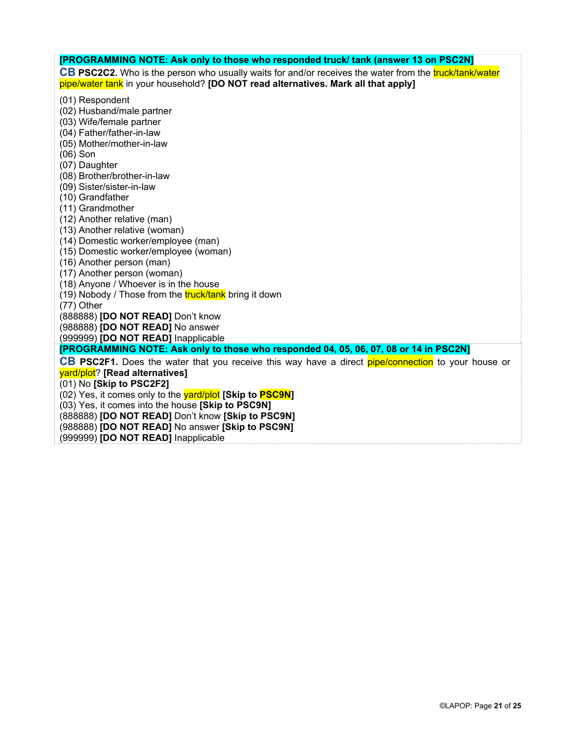| [PROGRAMMING NOTE: Ask only to those who responded truck/ tank (answer 13 on PSC2N]                    |  |  |  |  |
|--------------------------------------------------------------------------------------------------------|--|--|--|--|
| CB PSC2C2. Who is the person who usually waits for and/or receives the water from the truck/tank/water |  |  |  |  |
| pipe/water tank in your household? [DO NOT read alternatives. Mark all that apply]                     |  |  |  |  |
|                                                                                                        |  |  |  |  |
| (01) Respondent                                                                                        |  |  |  |  |
| (02) Husband/male partner<br>(03) Wife/female partner                                                  |  |  |  |  |
| (04) Father/father-in-law                                                                              |  |  |  |  |
| (05) Mother/mother-in-law                                                                              |  |  |  |  |
| $(06)$ Son                                                                                             |  |  |  |  |
| (07) Daughter                                                                                          |  |  |  |  |
| (08) Brother/brother-in-law                                                                            |  |  |  |  |
| (09) Sister/sister-in-law                                                                              |  |  |  |  |
| (10) Grandfather                                                                                       |  |  |  |  |
| (11) Grandmother                                                                                       |  |  |  |  |
| (12) Another relative (man)                                                                            |  |  |  |  |
| (13) Another relative (woman)                                                                          |  |  |  |  |
| (14) Domestic worker/employee (man)                                                                    |  |  |  |  |
| (15) Domestic worker/employee (woman)                                                                  |  |  |  |  |
| (16) Another person (man)                                                                              |  |  |  |  |
| (17) Another person (woman)                                                                            |  |  |  |  |
| (18) Anyone / Whoever is in the house<br>(19) Nobody / Those from the truck/tank bring it down         |  |  |  |  |
| (77) Other                                                                                             |  |  |  |  |
| (888888) <b>[DO NOT READ]</b> Don't know                                                               |  |  |  |  |
| (988888) <b>[DO NOT READ]</b> No answer                                                                |  |  |  |  |
| (999999) [DO NOT READ] Inapplicable                                                                    |  |  |  |  |
| [PROGRAMMING NOTE: Ask only to those who responded 04, 05, 06, 07, 08 or 14 in PSC2N]                  |  |  |  |  |
| CB PSC2F1. Does the water that you receive this way have a direct pipe/connection to your house or     |  |  |  |  |
| yard/plot? [Read alternatives]                                                                         |  |  |  |  |
| (01) No [Skip to PSC2F2]                                                                               |  |  |  |  |
| (02) Yes, it comes only to the yard/plot [Skip to PSC9N]                                               |  |  |  |  |
| (03) Yes, it comes into the house [Skip to PSC9N]                                                      |  |  |  |  |
| (888888) [DO NOT READ] Don't know [Skip to PSC9N]                                                      |  |  |  |  |
| (988888) [DO NOT READ] No answer [Skip to PSC9N]                                                       |  |  |  |  |
| (999999) [DO NOT READ] Inapplicable                                                                    |  |  |  |  |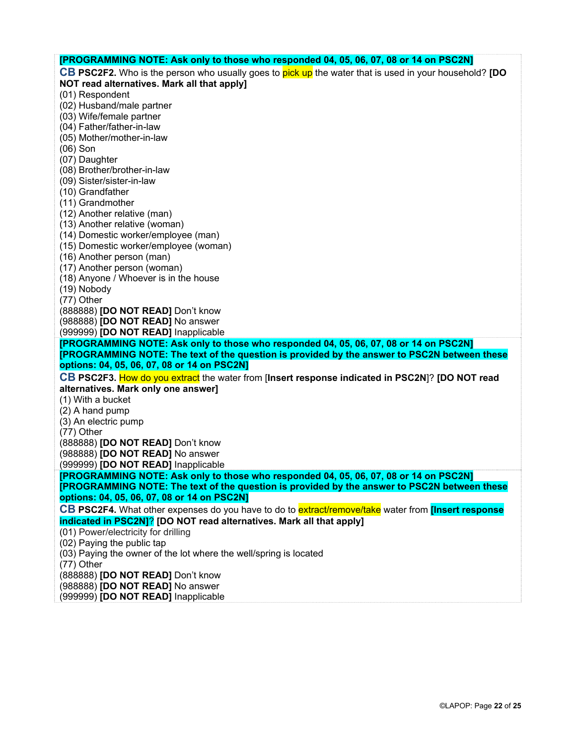| [PROGRAMMING NOTE: Ask only to those who responded 04, 05, 06, 07, 08 or 14 on PSC2N]                                                       |
|---------------------------------------------------------------------------------------------------------------------------------------------|
| CB PSC2F2. Who is the person who usually goes to pick up the water that is used in your household? [DO                                      |
| NOT read alternatives. Mark all that apply]                                                                                                 |
| (01) Respondent                                                                                                                             |
| (02) Husband/male partner                                                                                                                   |
| (03) Wife/female partner                                                                                                                    |
| (04) Father/father-in-law                                                                                                                   |
| (05) Mother/mother-in-law                                                                                                                   |
| $(06)$ Son                                                                                                                                  |
| (07) Daughter                                                                                                                               |
| (08) Brother/brother-in-law                                                                                                                 |
| (09) Sister/sister-in-law                                                                                                                   |
| (10) Grandfather                                                                                                                            |
| (11) Grandmother                                                                                                                            |
| (12) Another relative (man)                                                                                                                 |
| (13) Another relative (woman)                                                                                                               |
| (14) Domestic worker/employee (man)                                                                                                         |
| (15) Domestic worker/employee (woman)                                                                                                       |
| (16) Another person (man)                                                                                                                   |
| (17) Another person (woman)                                                                                                                 |
| (18) Anyone / Whoever is in the house                                                                                                       |
| (19) Nobody                                                                                                                                 |
| (77) Other                                                                                                                                  |
| (888888) [DO NOT READ] Don't know                                                                                                           |
| (988888) [DO NOT READ] No answer                                                                                                            |
| (999999) [DO NOT READ] Inapplicable                                                                                                         |
| [PROGRAMMING NOTE: Ask only to those who responded 04, 05, 06, 07, 08 or 14 on PSC2N]                                                       |
| [PROGRAMMING NOTE: The text of the question is provided by the answer to PSC2N between these                                                |
| options: 04, 05, 06, 07, 08 or 14 on PSC2N]                                                                                                 |
| CB PSC2F3. How do you extract the water from [Insert response indicated in PSC2N]? [DO NOT read                                             |
| alternatives. Mark only one answer]                                                                                                         |
| (1) With a bucket                                                                                                                           |
| (2) A hand pump                                                                                                                             |
| (3) An electric pump                                                                                                                        |
| (77) Other                                                                                                                                  |
| (888888) [DO NOT READ] Don't know                                                                                                           |
| (988888) [DO NOT READ] No answer                                                                                                            |
| (999999) [DO NOT READ] Inapplicable                                                                                                         |
| [PROGRAMMING NOTE: Ask only to those who responded 04, 05, 06, 07, 08 or 14 on PSC2N]                                                       |
| [PROGRAMMING NOTE: The text of the question is provided by the answer to PSC2N between these<br>options: 04, 05, 06, 07, 08 or 14 on PSC2N] |
|                                                                                                                                             |
| CB PSC2F4. What other expenses do you have to do to extract/remove/take water from [Insert response]                                        |
| indicated in PSC2N]? [DO NOT read alternatives. Mark all that apply]                                                                        |
| (01) Power/electricity for drilling                                                                                                         |
| (02) Paying the public tap                                                                                                                  |
| (03) Paying the owner of the lot where the well/spring is located                                                                           |
|                                                                                                                                             |
| $(77)$ Other                                                                                                                                |
| (888888) [DO NOT READ] Don't know                                                                                                           |
| (988888) [DO NOT READ] No answer<br>(999999) [DO NOT READ] Inapplicable                                                                     |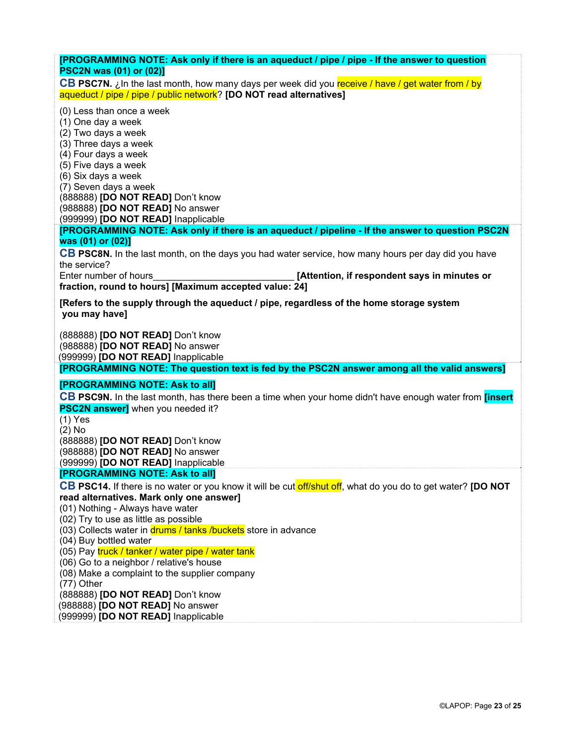| [PROGRAMMING NOTE: Ask only if there is an aqueduct / pipe / pipe - If the answer to question<br><b>PSC2N was (01) or (02)]</b>                                          |
|--------------------------------------------------------------------------------------------------------------------------------------------------------------------------|
| CB PSC7N. ¿In the last month, how many days per week did you receive / have / get water from / by<br>aqueduct / pipe / pipe / public network? [DO NOT read alternatives] |
| (0) Less than once a week<br>(1) One day a week                                                                                                                          |
| (2) Two days a week                                                                                                                                                      |
| (3) Three days a week<br>(4) Four days a week                                                                                                                            |
| (5) Five days a week                                                                                                                                                     |
| (6) Six days a week<br>(7) Seven days a week                                                                                                                             |
| (888888) [DO NOT READ] Don't know                                                                                                                                        |
| (988888) [DO NOT READ] No answer<br>(999999) [DO NOT READ] Inapplicable                                                                                                  |
| [PROGRAMMING NOTE: Ask only if there is an aqueduct / pipeline - If the answer to question PSC2N                                                                         |
| was (01) or (02)]<br>CB PSC8N. In the last month, on the days you had water service, how many hours per day did you have                                                 |
| the service?                                                                                                                                                             |
| [Attention, if respondent says in minutes or<br>Enter number of hours<br>fraction, round to hours] [Maximum accepted value: 24]                                          |
| [Refers to the supply through the aqueduct / pipe, regardless of the home storage system                                                                                 |
| you may have]                                                                                                                                                            |
| (888888) [DO NOT READ] Don't know<br>(988888) [DO NOT READ] No answer                                                                                                    |
| (999999) [DO NOT READ] Inapplicable                                                                                                                                      |
| [PROGRAMMING NOTE: The question text is fed by the PSC2N answer among all the valid answers]                                                                             |
| [PROGRAMMING NOTE: Ask to all]                                                                                                                                           |
| CB PSC9N. In the last month, has there been a time when your home didn't have enough water from <i>[insert</i> ]<br><b>PSC2N answer]</b> when you needed it?             |
| $(1)$ Yes                                                                                                                                                                |
| $(2)$ No<br>(888888) [DO NOT READ] Don't know                                                                                                                            |
| (988888) <b>[DO NOT READ]</b> No answer                                                                                                                                  |
| (999999) [DO NOT READ] Inapplicable<br>[PROGRAMMING NOTE: Ask to all]                                                                                                    |
| CB PSC14. If there is no water or you know it will be cut off/shut off, what do you do to get water? [DO NOT                                                             |
| read alternatives. Mark only one answer]<br>(01) Nothing - Always have water                                                                                             |
| (02) Try to use as little as possible                                                                                                                                    |
| (03) Collects water in drums / tanks / buckets store in advance<br>(04) Buy bottled water                                                                                |
| (05) Pay truck / tanker / water pipe / water tank                                                                                                                        |
| (06) Go to a neighbor / relative's house                                                                                                                                 |
| (08) Make a complaint to the supplier company<br>(77) Other                                                                                                              |
| (888888) [DO NOT READ] Don't know                                                                                                                                        |
| (988888) [DO NOT READ] No answer<br>(999999) [DO NOT READ] Inapplicable                                                                                                  |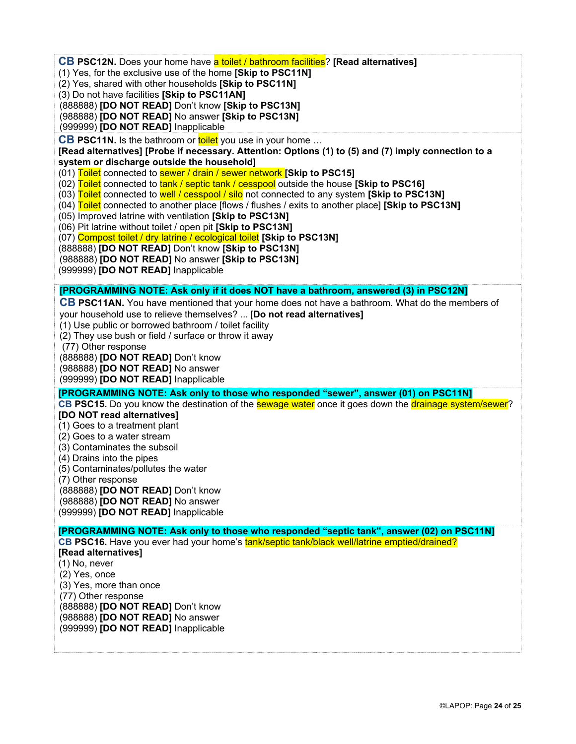**CB PSC12N.** Does your home have a toilet / bathroom facilities? **[Read alternatives]**

- (1) Yes, for the exclusive use of the home **[Skip to PSC11N]**
- (2) Yes, shared with other households **[Skip to PSC11N]**
- (3) Do not have facilities **[Skip to PSC11AN]**
- (888888) **[DO NOT READ]** Don't know **[Skip to PSC13N]**
- (988888) **[DO NOT READ]** No answer **[Skip to PSC13N]**

(999999) **[DO NOT READ]** Inapplicable

**CB PSC11N.** Is the bathroom or toilet you use in your home ...

**[Read alternatives] [Probe if necessary. Attention: Options (1) to (5) and (7) imply connection to a system or discharge outside the household]** 

(01) Toilet connected to sewer / drain / sewer network **[Skip to PSC15]** 

(02) Toilet connected to tank / septic tank / cesspool outside the house **[Skip to PSC16]**

- (03) Toilet connected to well / cesspool / silo not connected to any system **[Skip to PSC13N]**
- (04) Toilet connected to another place [flows / flushes / exits to another place] **[Skip to PSC13N]**
- (05) Improved latrine with ventilation **[Skip to PSC13N]**

(06) Pit latrine without toilet / open pit **[Skip to PSC13N]**

(07) Compost toilet / dry latrine / ecological toilet **[Skip to PSC13N]** 

(888888) **[DO NOT READ]** Don't know **[Skip to PSC13N]**

(988888) **[DO NOT READ]** No answer **[Skip to PSC13N]**

(999999) **[DO NOT READ]** Inapplicable

#### **[PROGRAMMING NOTE: Ask only if it does NOT have a bathroom, answered (3) in PSC12N]**

**CB PSC11AN.** You have mentioned that your home does not have a bathroom. What do the members of your household use to relieve themselves? ... [**Do not read alternatives]** 

(1) Use public or borrowed bathroom / toilet facility

(2) They use bush or field / surface or throw it away

(77) Other response

(888888) **[DO NOT READ]** Don't know

(988888) **[DO NOT READ]** No answer

(999999) **[DO NOT READ]** Inapplicable

**[PROGRAMMING NOTE: Ask only to those who responded "sewer", answer (01) on PSC11N]** 

**CB PSC15.** Do you know the destination of the **sewage water** once it goes down the **drainage system/sewer**?

### **[DO NOT read alternatives]**

(1) Goes to a treatment plant

(2) Goes to a water stream

- (3) Contaminates the subsoil
- (4) Drains into the pipes
- (5) Contaminates/pollutes the water

(7) Other response

(888888) **[DO NOT READ]** Don't know

(988888) **[DO NOT READ]** No answer

(999999) **[DO NOT READ]** Inapplicable

**[PROGRAMMING NOTE: Ask only to those who responded "septic tank", answer (02) on PSC11N] CB PSC16.** Have you ever had your home's **tank/septic tank/black well/latrine emptied/drained? [Read alternatives]**  (1) No, never (2) Yes, once (3) Yes, more than once (77) Other response (888888) **[DO NOT READ]** Don't know (988888) **[DO NOT READ]** No answer (999999) **[DO NOT READ]** Inapplicable